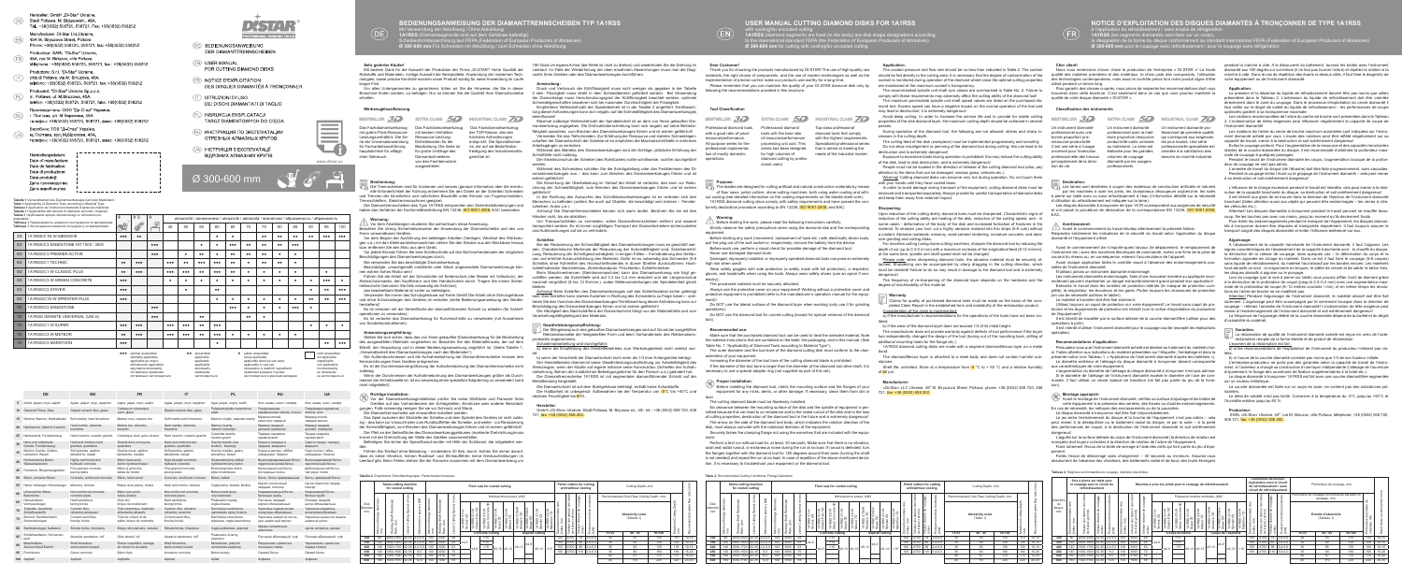Hersteller: GmbH .Di-Star" Ukraine Stadt Poltawa M Biriusowstr 45A Tel.: +38(0532) 508720, 508721, Fax: +38(0532) 508202 Manufacturer: Di-Star Ltd. Ukraine. 45A M Birvuzova Street Poltava Phone: +38(0532) 508720 508721 fax: +38(0532) 508202 Productour: SARI "Di-Star" Likraine 45A rue M. Biriuzov, ville Poltava téléphone : +38(0532) 508720, 508721, fax : +38(0532) 508202 Produttore: S.r.I. "Di-Star" Ucraina città di Poltava, via M. Biriuzova, 45A telefono: +38(0532) 508720, 508721, fax: +38(0532) 508202 Producent: "DI-Star" Ukraina Sp.z.o.o. m. Połtawa, ul. M. Biruzowa, 45A. telefon: +38(0532) 508720, 508721, faks: +38(0532) 508202 .<br>Производитель: ООО "Ди-Стар" Украина, RU) г. Полтава, ул. М. Бирюзова, 45А. телефон: +38(0532) 508720, 508721, факс: +38(0532) 508202 Виробник: ТОВ "Ді-Стар" Україна, м. Полтава, вул. М. Бірюзова, 45А. телефон: +38(0532) 508720, 508721, факс: +38(0532) 508202

**Table 1** Verwendbarkeit des Diamantwerkzeuges nach den Materiale

Herstellungsdatum

Date of manufacture: Date de fabrication Data di produzione Data produkcii: Дата производства Дата виробництва:

- 
- **DE BEDIENUNGSANWEISUNG DER DIAMANTTRENNSCHEIBEN**
- (EN) USER MANUAL FOR CUTTING DIAMOND DISKS
- (FR) NOTICE D'EXPLOITATION
- DES DISQUES DIAMANTÉS À TRONCONNER
- **ISTRUZIONI DI USO** DEI DISCHI DIAMANTATI DI TAGLIO
- (PL) INSRUKCJA EKSPLOATACJI TARCZ DIAMENTOWYCH DO CIĘCIA
- RU) MHCTPVKI IMA NO SKCNNYATALIMM ОТРЕЗНЫХ АЛМАЗНЫХ КРУГОВ
- **(UA) ІНСТРУКЦІЯ З ЕКСПЛУАТАЦІЇ** ВІЛРІЗНИХ АПМАЗНИХ КРУГІВ

| <br>optimal anwendbar<br>optimally applicable<br>applicable au mieux<br>ottimamente applicabile<br>optymalnie stosowalny | <br>anwendbar<br>applicable<br>applicable<br>applicabile<br>stosowalny | selten anwendbar<br>rarely applicable<br>applicable dans les cas rares<br>applicabile in casi rari<br>stosowalny w rzadkich wypadkach | nicht anwendbar<br>not applicable<br>inapplicable<br>non applicabile<br>nie stosowalny |
|--------------------------------------------------------------------------------------------------------------------------|------------------------------------------------------------------------|---------------------------------------------------------------------------------------------------------------------------------------|----------------------------------------------------------------------------------------|
| оптимально применим                                                                                                      | применим                                                               | применим в редких случаях                                                                                                             | не применим                                                                            |
| оптимально застосовується                                                                                                | застосовується                                                         | застосовується в рідкісних випадках                                                                                                   | не застосовується                                                                      |

d'utilisation du refroidissement est indiquée sur la lame). Les disques diamantés à tronçonner de type 1А1R correspondent aux exigences de sécurité et ont passé la procédure de déclaration de la correspondance EN 13236, ISO 9001-2008,



|    | DE                                              | <b>EN</b>                                     | <b>FR</b>                                           | IT                                             | <b>PL</b>                                         | <b>RU</b>                                           | <b>UA</b>                                      |
|----|-------------------------------------------------|-----------------------------------------------|-----------------------------------------------------|------------------------------------------------|---------------------------------------------------|-----------------------------------------------------|------------------------------------------------|
| 5  | Achat, jasper, onyx, saphir                     | Agate, jasper, onyx, sapphire                 | Agate, jaspe, onyx, saphir                          | Agate, jasper, onyx, sapphire                  | Agat, jaspis, onyks, szafir                       | Агат, яшма, оникс, сапфир                           | Агат, яшма, онікс, сапфір                      |
|    | 10 Glasierte Fliese, Glas                       | Glazed ceramic tiles, glass                   | Carreau en céramique<br>verni, glace                | Glazed ceramic tiles, glass                    | Polewana płytka ceramiczna,<br>szkło              | Глазурованная<br>керамическая плитка, стекло        | Глазурована керамічна<br>плитка, скло          |
| 15 | Weicher Marmor, Hartkalkstein                   | Soft marble, hard limestone                   | Marbre mou, calcaire dur                            | Soft marble.solid limestone                    | Marmur miekki, wapniak twardy                     | Мрамор мягкий,<br>известняк твердый                 | Мармур м'який,<br>твердий вапняк               |
| 20 | Hartmarmor, dolomit, travertin                  | Hard marble, dolomite.<br>travertine          | Marbre dur, dolomite.<br>travertin                  | Hard marble, dolomite.<br>travertine           | Marmur twardy.<br>dolomit, trawertyn              | Мрамор твердый.<br>доломит, травертин               | Мармур твердий.<br>доломіт, травертин          |
| 25 | Hartkeramik, Feinsteinzeug                      | Hard ceramic, ceramic granite                 | Céramique dure, grès cérame                         | Hard ceramic, ceramic granite                  | Ceramika twarda.<br>ceramo-granit                 | Твердая керамика,<br>керамогранит                   | Тверда кераміка,<br>керамограніт               |
| 30 | Harte und mittelharte<br>Granite, Feinsteinzeug | Hard and medium-hard<br>granites, quartzites  | Granits durs et movens.<br>quartzites               | Hard and medium-hard<br>granites, quartzites   | Granity twarde oraz<br>średnie, kwarcyty          | Граниты твердые и<br>средние, кварциты              | Граніти тверді і середні.<br>кварцити          |
| 35 | Weiche Granite, Gabbro.<br>Labradorit, Basalt   | Soft granites, gabbro.<br>labradorite, basalt | Granits mous, gabbro.<br>labradorite, basalte       | Soft granites, gabbro,<br>labradorite, basalt  | Granity miekkie, gabro.<br>labradoryt, bazalt     | Граниты мягкие, габбро,<br>лабрадорит, базальт      | Граніти м'які, габро,<br>лабрадорит. базальт   |
| 40 | Hocharmiertes Beton.<br>Wasserbaubeton          | Highly-reinforced and<br>hydraulic concrete   | Béton haut-armé.<br>béron hyrdotechnique            | High-strength concrete,<br>hydraulic concrete  | Wysokozbrojony żelbet,<br>hydrotechniczny beton   | Высокоармированный бетон.<br>гидротехнический бетон | Высокоармований бетон.<br>гідротехнічний бетон |
| 45 | Feinbeton, Bürgersteigplatten                   | Fine-grained concrete.<br>paving slabs        | Béton à grins fins.<br>dalles de trottoir           | Fine-grained concrete.<br>paving slabs         | Drobnoziarnisty beton.<br>płyta chodnikowa        | Мелкозернистый бетон,<br>тротуарные плиты           | Доібнозернистий бетон.<br>тротуарні плити      |
| 50 | Beton, armierter Beton                          | Concrete, reinforced concrete                 | Béton, béton armé                                   | Concrete, reinforced concrete                  | Beton, żelbet                                     | Бетон, бетон армированный                           | Бетон, армований бетон                         |
| 55 | Harter Vollziegel, Klinkerzieger                | Masonry, clinkers                             | Brique dure pleine, clinker                         | Hard solid bricks, clinkers                    | Cegła pełna, twarda, klinkier                     | Кирпич полнотелый<br>твердый, клинкер               | Цегла повнотіла тверда,<br>клінкер             |
| 60 | Unbewehrter Beton,<br><b>Betonrohre</b>         | Non-reinforced concrete.<br>concrete pipes    | Béton non-armé.<br>tubes à béton                    | Non-reinforced concrete.<br>concrete pipes     | Beton niezbroiony.<br>rury betonowe               | Неармированный бетон.<br>бетонные трубы             | Неармований бетон.<br>бетонні труби            |
| 65 | Hartsandstein.<br>Vormauerziegel                | Hard sandstone<br>facing bricks               | Grès dur<br>brique de revêtement                    | Hard sandstone.<br>facing bricks               | Piaskowiec twardy.<br>ceoła-licówka               | Песчаник твердый.<br>кирпич облицовочный            | Пісковик твердий.<br>цегла облицювальна        |
| 70 | Tonplatte, feuerfeste<br>Schleifbaustoffe       | Ceramic tiles.<br>refractory abrasives        | Tuile céramique, matériels<br>réfractaires abrasifs | Ceramic tiles, abrasive<br>refractory ceramics | Dachówka ceramiczna.<br>ogniotrwałe opory ścierne | Черепица керамическая.<br>огнеупоры абразивные      | Черепиця керамічна.<br>вогнетриви абразивні    |
| 75 | Zement-Sanddachstein.<br>Schamotteziegel        | Cement-sand tiles.<br>fireclay bricks         | Tuile de ciment et de<br>sable, brique de chamotte  | Cement-sand tiles<br>fireclay bricks           | Dachówka cementowo-<br>piaskowa, cegła szamotowa  | Черепица цементно-песча-<br>ная, шамотный кирпич    | Черепиця цементно-піщана,<br>шамотна цегла     |
| 80 | Sandsteinziegel, Kalkstein                      | Silicate bricks, limestone                    | Brique silicocalcaire, calcaire                     | Silicate bricks, limestone                     | Cegła sylikatowa, wapniak                         | Кирпич силикатный.<br>ИЗВАСТНЯК                     | Цегла силікатна, вапняк                        |
| 85 | Schleifsandstein, Schwemm-<br>stein             | Abrasive sandstone, tuff                      | Grès abrasif, tuf                                   | Abrasive sandstone, tuff                       | Piaskowiec ścierny,<br>trawertyn                  | Песчаник абразивный, туф                            | Пісковик абразивний, туф                       |
| 90 | Muschelkries.<br>Zement-Sand-Estrich            | Shell limestone<br>sand-cement screed         | Roche coquillière, serrage<br>de ciment et de sable | Shell limestone<br>sand-cement screed          | Muszlowiec, jastrych<br>cementowo-piaskowy        | Ракушечник, цементно-<br>песчаная стяжка            | Черепашник, цементно-<br>пішана стяжка         |
| 95 | Frischbeton                                     | Green concrete                                | Béton frais                                         | Immature concrete                              | Beton świeży                                      | Свежий бетон                                        | Свіжий бетон                                   |
|    | 100 Asphalt                                     | Asphalt                                       | Asphalte                                            | Asphalt                                        | Asfalt                                            | Асфальт                                             | Асфальт                                        |



Les instruments diamantés endommagés, fixés d'une mauvaise manière ou appliqués incorrectement peuvent représenter un danger extraordinairement grand pendant leur application! Exécutez le travail dans les lunettes de protection latérale (le masque de protection complête), le respirateur, les écouteurs et les gants. Portez toujours les chaussures de protection en cas de nécessité outilisez le tablier

Persuadez-vous que l'instrument diamanté acheté est destiné au traitement du matériel choisi. Faites attention aux indications du matériel présentées sur l'étiquette, l'emballage et dans la présente notice (voir Tableau 1, « Application de l'instrument diamanté d'après les matériels »). Le diamètre extérieur et l'alésage du disque diamanté à tronçonner doivent correspondre Le caractéristiques de votre équipement

**Montage approprié:**<br>Avant le montage de l'instrument diamanté, vérifiez sa surface d'ajustage et les brides de<br>votre équipement à la présence des serrées, des fosses ou d'autres endommagements. En cas de nécessité, les nettoyez des encrassements ou de la poussière.

pement. Faites l'essai de démarrage sans chargement – 30 seconds au minimum. Assurez-vous absolument de l'absence des vibrations, des battements radial et de bout, des bruits étranger

Before starting any work (movement, replacement of tools etc.) with electrically driven tools, pull the plug out of the wall socket or, respectively, remove the battery from the device. Before each use, perform a visual check for possible damage of the diamond tool.

Make sure that the purchased diamond tool can be used to treat the selected material. Not the material instructions that are contained on the label, the packaging, and in this manual. (See Table No. 1 "Applicability of Diamond Tools according to Material Type").

The outer diameter and the tool bore of the diamond cutting disk must conform to the characteristics of your equipment.

Les lames sont destinées à couper des matériaux de construction artificiels et naturels ar les machines à scier les joints, les chalumeaux découpeurs oxybenzine, les scies à pierre sur table avec ou sans refroidissement à l'eau (l'information détaillé sur la nécessité

Increasing the diameter of the tool bore of the cutting diamond blade is prohibite If the diameter of the tool bore is larger than the diameter of the diamond tool drive shaft, it is necessary to use a special adapter ring (not supplied as part of this set).

Before installing the diamond tool, check the mounting surface and the flanges of your equipment for any nicks, dents, or other damage. If necessary, clean them from dirt or  $721, fax: +38 (0532) 508 202$ dust.

EAC.

### **Avertissement:**

Avant le commencement du travail étudiez attentivement la présente Notice. Respectez strictement les indications de la sécurité du travail selon l'application du disque diamanté et l'équipement utilisé.

Avant le commencement de n'importe-quels travaux (le déplacement, le remplacement de l'instrument etc.) avec des machines électriques de commande, sortez une fiche de la prise de courant du réseau ou, en conséquence, enlevez l'accumulateur de l'appareil.

**Bestimmung:**<br>Die Trennscheiben sind für trockenes und nasses (genaue Information über die eventuelle Erforderlichkeit der Kühlung entnehmen Sie den Daten an der Scheibe) Schneiden und Trennen der künstlichen und natürlichen Baustoffe unter Einsatz von Fugenschneidern,

> Avant chaque application faites le contrôle visuel à l'absence des endommagements possibles de l'instrument diamanté.

Trennschleifern, Steintrennmaschinen geeignet.<br>Die Diamanttrennscheiben des Typs 1A1RSS entsprechen den Sicherheitsforderungen und haben das Verfahren der Konformitätserklärung EN 13236, ISO 9001-2008, EAC bestanden.

N'utilisez jamais un instrument diamanté endommagé.

nen extrem hohes Risiko sein! Führen Sie die Arbeit mit der Schutzbrille mit Seitenschutz (der Maske mit Vollschutz), der Atemschutzmaske, den Kopfhörern und den Handschuhen durch. Tragen Sie immer Sichereitsschuhe (benutzen Sie falls notwendig die Schürze);

### Le matériel à travailler doit être fixé sûrement;

nden Sie immer das Schutzgehäuse auf Ihrem Gerät! Die Arbeit ohne Schutzgehäuse und ohne Schutzanlagen des Gerätes ist verboten (siehe Bedienungsanweisung des Geräteherstellers)! Es ist verboten mit der Seitenfläche der diamantführenden Schicht zu arbeiten (für Schleif-

Utilisez toujours un capot de protection sur votre équipement! Le travail sans capot de protection et les équipements de protection est interdit (voir la notice d'exploitation du producteur de l'équipement)! Il est interdit de travailler par la surface latérale de la couche diamantifère (utiliser pour des

Stellen Sie sich sicher, dass das von Ihnen gekauftes Diamantwerkzeug für die Bearbeitung des ausgewählten Materials vorgesehen ist. Beachten Sie den Materialhinweis, der auf dem Etikett, der Verpackung und in dieser Bedienungsanweisung angeführt ist. (Siehe Tabelle 1, "Verwendbarkeit des Diamantwerkzeuges nach den Materialen").

opérations à polir);

Il est interdit d'utiliser l'instrument diamanté pour le coupage courbe (excepté les réalisations spéciales).

### **Recommandations d'application:**

L'augmentation du diamètre de l'alésage du disque diamanté à tronçonner n'est pas admise. Si le diamètre de l'alésage de l'instrument diamanté excède le diamètre de l'axe de com-mande, il faut utiliser un cercle spécial de transition (ne fait pas partie du jeu de la livraison).

Le disque diamanté à tronçonner doit être fixé irréprochablement. Le jeu entre l'embrèvement du disque et la broche de l'équipement n'est pas admis – cela peut mener à la déséquilibre ou le battement radial du disque, et par la suite – à la perte des performances de coupe, à la destruction de l'instrument diamanté et soit extrêmement

dangereux! L'aiguille sur la surface latérale du corps de l'instrument diamanté (la direction de rotation est marquée) doit toujour coїncider à la direction de rotation de l'arbre de l'équipement. Fixez sûrement l'écrou de la bride de serrage à l'aide des clefs qui font partie du jeu d'équi-

**Purpose:** The blades are designed for cutting artificial and natural construction materials by means of floor saws, petrol cutters, stone-cutting machines, both using water cooling and withling (see detailed information on the cooling requirements on the blades steel core). 1A1RSS diamond cutting discs comply with safety requirements and have passed the conformity declaration procedure according to EN 13236, ISO 9001-2008, and EAC.

**Warning:** Before starting the work, please read the following instructions carefully. Strictly observe the safety precautions when using the diamond disk and the corresponding equipment.

Never use damaged diamond tools.

Damaged, improperly installed, or improperly operated diamond tools can pose an extremely high risk when used!

Wear safety goggles with side protection (a safety mask with full protection), a respirator, gloves, and headmuffs when using the tools. Always wear safety shoes (use an apron if necessary); The processed material must be securely attached;

pendant la marche à vide. A la découverte du battement, tournez les brides avec l'instrument diamanté aux 180 degrés sur soi-même (il ne faut pas tourner l'arbre) et répétez la rotation à la marche à vide. Dans le cas de répétition des écarts ci-dessus cités, il faut faire le diagnistic de votre équipement ou de l'instrument diamanté.

Always use the protective cover on your equipment! Working without a protective cover and protective equipment is prohibited (refer to the manufacturer's operation manual for the equip-

ment)! Do NOT use the lateral surface of the diamond layer when working (only use it for grinding operations); Do NOT use the diamond tool for curved cutting (except for special versions of the diamond

tool).

## **Recommended use:**

### **Proper installation:**

The cutting diamond blade must be flawlessly installed. No clearance between the mounting surface of the disk and the spindle of equipment is permitted because this can lead to an imbalance and to the radial runout of the disk and to the loss of cutting properties, destruction of the diamond tool in the future and is extremely dangerous The arrow on the side of the diamond tool body, which indicates the rotation direction of the disk, must always coincide with the rotational direction of the equipment.

sûrement. L'aiguissage peut être accompagné par le serrement brusque dans la direction de coupage – retenez l'amenée de l'instrument diamanté! L'inobservation de telle exigence peut mener à l'endommagement de l'instrument diamanté et soit extrêmement dangere La fréquence de l'aiguisage réitéré de la couche diamantée dépend de la durété et du dégré d'usinabilité du matériel.

sur un rouleau métallique

Securely fasten the clamping flange nut using the wrenches that are included with the equipment. Perform a test run without load for, at least, 30 seconds. Make sure that there is no vibration,

axial and radial runout, or extraneous noise during the run at no load. If runout is detected, turn the flanges together with the diamond tool for 180 degrees around their axes (turning the shaft is not needed) and repeat the run at no load. In case of repetition of the above-mentioned deviation, it is necessary to troubleshoot your equipment or the diamond tool.

**Warnung:** Vor dem Arbeitsbeginn studieren Sie aufmerksam diese Anweisung. Beachten Sie streng Sicherheitsanweise der Anwendung der Diamantscheibe und des von

Ihnen verwendbaren Gerätes. Vor dem Beginn der Ausführung der beliebigen Arbeiten (Verlegen, Wechsel des Werkzeuges u.a.) mit den Elektroantriebsmaschinen ziehen Sie den Stecker aus der Steckdose heraus bzw. entfernen Sie den Akku aus dem Gerät.

attention to the items that can be damaged: window glass, vehicles etc.). Warning! Cutting diamond disks can become very hot during operation. Do not touch them

with your hands until they have cooled down. In order to avoid damage during transport of the equipment, cutting diamond disks must be

Vor jedem Einsatz führen Sie eine Sichtkontrolle auf das Nichtvorhandensein der möglichen Beschädigungen des Diamantwerkzeuges durch.

Nie verwenden Sie das beschädigte Diamantwerkzeug. Beschädigte, unsachgemäß installierte oder falsch angewendete Diamantwerkzeuge kön-

das bearbeitbare Material ist sicher zu befestigen;

operationen zu verwenden); Es ist verboten das Diamantwerkzeug für Kurvenschnitte zu verwenden (mit Ausnahmen von Sonderkonstruktionen).

# **Anwendungsempfehlung:**

Der Außendurchmesser und die Aufnahmebohrung der Diamanttrennscheibe müssen den Kennzeichnungen Ihres Gerätes entsprechen. Es ist die Durchmesservergrößerung der Aufnahmebohrung der Diamanttrennscheibe nicht

zulässig. Wenn der Durchmesser der Aufnahmebohrung des Diamantwerkzeuges größer als Durch-

**Werkzeugklassifizierung The Classification des instruments werkzeuges auf die Schneidfähigkeit des Diamantwerkzeuges <b>auf die Schneidfähigkeit des Diamantwerkzeuges Tool Classification Classification** au en the cons Schneideigenschaften bewahren sich bei maximaler Durchsichtigkeit der Flüssigkeit. Empfohlene Wellendrehzahl der Spindeleinheit ist in der Tabelle 2 angeführt. Nichtbeach-

messer der Antriebswelle ist, ist es notwendig einen speziellen Adapterring zu verwenden (wird nicht mitgeliefert).

### **Richtige Installation:**

Arbeitsgängen zu erreichen. Während des Betriebs des Diamantwerkzeuges sind die Schläge, plötzliche Erhöhung der Schnitttiefe nicht zulässig.

Vor der Diamantwerkzeuginstallation prüfen Sie seine Sitzfläche und Flansche Ihres Gerätes auf das Vorhandensein der Schlagstellen, Eindrücke oder anderer Beschädigungen. Falls notwendig reinigen Sie sie vor Schmutz und Staub. Die Diamanttrennscheibe soll einwandfrei installiert werden.

amantenwerkzeuges aus – das kann zum Brechen des Diamantwerkzeuges führen und ist extrem gefährlich

Das Spiel zwischen der Sitzstelle der Scheibe und dem Spindel des Gerätes ist nicht zulässig – das kann zur Unwucht oder zum Rundlauffehler der Scheibe, und weiter - zur Reduzierung der Schneidfähigkeit, zum Brechen des Diamantwerkzeuges führen und ist extrem gefährlich! Der Pfeil an der Seitenfläche des Diamantwerkzeuggehäuses (markierte Drehrichtung)muss immer mit der Drehrichtung der Welle des Gerätes zusammenfallen.

Befestigen Sie sicher die Spannflanschmutter mit Hilfe der Schlüssel, die mitgeliefert wer-

den. Führen Sie Testlauf ohne Belastung – mindestens 30 Sek. durch. Achten Sie immer darauf, dass es keine Vibration, keinen Rundlauf- und Stirnlauffehler, keine Geräuschbildungen im Leerlauf gibt. Beim Fehler drehen Sie die Flansche zusammen mit dem Diamantwerkzeug um

**Tabelle 2.** Becommended Cutting Conditions; Flange Diameters and the state of the state of the state of the state of the state of the state of the state of the state of the state of the state of the state of the state of

**Schärfen:**<br>Bei der Reduzierung der Schneidfähigkeit des Diamantwerkzeuges muss es geschärft werden. Charakteristische Merkmale der Reduzierung der Schneidfähigkeit sind: Scheibenerhitzung, Reduzierung der Schnittgeschwindigkeit, in einigen Fällen – Formänderung des Gehäuses und erhöhte Ausbruchsbildung des Materials. Dafür ist es notwendig das Schneiden (5-6 Schnitte) ohne Kühlmittel des Hochschleifmaterials in dünne Streifen durchzuführen. Hochschleifmateriale: Backsteinbau, Zementsandputz, Frischbeton, Schleifscheiben.

Beim Maschinentrennen (Steintrennmaschine) kann das Diamantwerkzeug wie folgt geschliffen werden: die Schnitttiefe wird auf 0,3 bis 0,4 mm reduziert und der Längsvorschub maximal vergrößert (8 bis 12 lfm/min.), wobei Wellenumdrehungen der Spindeleinheit gleich **NOTICE D'EXPLOITATION DES DISQUES DIAMANTÉS À TRONҪONNER DE TYPE 1А1RSS**

à l'application du refroidissement / sans emploi de réfrigération **1А1RSS** (les segments diamantés sont fixés sur un corps),

bleiben.<br><u>Achtung!</u> Beim Schärfen des Diamantwerkzeuges soll das Schleifmaterial sicher gefestigt sein. Das Schärfen kann starkes Anziehen in Richtung des Schneidens zu Folge haben – arretieren Sie den Vorschub des Diamantwerkzeuges! Nichtbeachtung dieser Anforderung kann zur Beschädigung des Diamantwerkzeuges führen und ist extrem gefährlich!

la désignation de la forme du disque conformément au standard international FEPA (Federation of European Producers of Abrasives)

**Ø 300-600 mm** pour le coupage avec refroidissement / pour le coupage sans réfrigération

# **USER MANUAL CUTTING DIAMOND DISKS FOR 1A1RSS**

with cooling/for uncooled cutting

**1A1RSS** (diamond segments are fixed on the body) are disk shape designations according to the international standard FEPA (the Federation of European Producers of Abrasives) **Ø 300-600 mm** for cutting with cooling/for uncooled cutting

# **BEDIENUNGSANWEISUNG DER DIAMANTTRENNSCHEIBEN TYP 1A1RSS**

**Hersteller:**<br>GmbH «Di-Star» Ukraine, Stadt Poltawa, M. Birjusow str., 45^, tel.: +38 (0532) 508 720, 508 721, fax: +38 (0532) 508 202.

Mit Verwendung der Abkühlung / Ohne Abkühlung **1A1RSS** (Diamantsegmente sind auf dem Gehäuse befestigt) Scheibenformbezeichnung laut FEPA (Federation of European Producers of Abrasives) **Ø 300-600 mm** Für Schneiden mit Abkühlung / zum Schneiden ohne Abkühlung

# Sehr geehrter Käufe

**Cher client!**  Nous vous remercions d'avoir choisi la production de l'entreprise « DI-STAR »! La haute qualité des matières premières et des matériaux, le choix juste des composants, l'utilisation des technologies contemporaines, mais aussi le contrôle précis font notre produit digne d'être utilisé pendant un terme long.

Pour garantir des choses ci-après, nous prions de respecter les recommandations dont vous trouverez dans cette brochure. C'est seulement dans ce cas que vous pourrez maintenir la qualité de votre disque diamanté « DI-STAR ».

# **Dear Customer!**  Thank you for choosing the products manufactured by DI-STAR! The use of high-quality raw materials, the right choice of components, and the use of modern technologies as well as the mplementation of precise control make our products use-worthy for a long time. Please remember that you can maintain the quality of your DI-STAR diamond disk only by following the recommendations provided in this brochure.

Mit bestem Dank für die Auswahl der Produktion der Firma "Di-STAR"! Hohe Qualität der Rohstoffe und Materialen, richtige Auswahl der Bestandteile, Anwendung der modernen Technologien, sowie präzise Kontrolle machen unser Produkt würdig für seine Anwendung im Laufe

langer Frist. Um alles Untengenanntes zu garantieren, bitten wir Sie die Hinweise, die Sie in dieser Broschüre finden werden, zu befolgen. Nur so können Sie die Qualität Ihrer Diamantscheibe erhalten.

|                | Table 1 Applicability of Diamond Tools according to Material Type:<br>Tableau 1 Application de l'instrument diamanté d'après les matériels:<br>Tabella 1 l'Applicabilità dell'utensile di diamante secondo i materiali: |                         |                           |                           |                         |                         |                  |                         |                         |                  |              |              |                         |                  |                                                                                                  |                         |
|----------------|-------------------------------------------------------------------------------------------------------------------------------------------------------------------------------------------------------------------------|-------------------------|---------------------------|---------------------------|-------------------------|-------------------------|------------------|-------------------------|-------------------------|------------------|--------------|--------------|-------------------------|------------------|--------------------------------------------------------------------------------------------------|-------------------------|
| materiałów:    | Tabela 1 Użytkowanie sprzętu diamentowego w odniesieniu do                                                                                                                                                              | ۵                       | 68                        | ۵                         |                         |                         |                  |                         |                         |                  |              |              |                         |                  | abrasivität / abrasiveness / abrasivité / abrasività / ścieralność / абразивность / абразивність |                         |
|                | Таблица 1 Применяемость алмазного инструмента по материалам:<br>Таблиця 1 Застосування алмазного інструменту за матеріалами:                                                                                            | m<br><b>ING</b>         | <b>REP</b>                |                           | 45                      | 50                      | 55               | 60                      | 65                      | 70               | 75           | 80           | 85                      | 90               | 95                                                                                               | 100                     |
| 3D             | 1A1RSS/C1N-W ABRASIVE                                                                                                                                                                                                   | $\bullet\bullet\bullet$ | $^{\bullet}$              |                           |                         |                         |                  | ٠                       | ٠                       |                  | $^{\bullet}$ | $^{\bullet}$ | $^{\bullet}$            | $\bullet\bullet$ |                                                                                                  |                         |
| 5 <sub>D</sub> | 1A1RSS/C3 SANDSTONE HIT 1500 / 3000                                                                                                                                                                                     |                         |                           | $\bullet \bullet \bullet$ |                         |                         | ٠                | ٠                       |                         | $\bullet\bullet$ | $^{\bullet}$ | $^{\bullet}$ | $\bullet\bullet\bullet$ |                  |                                                                                                  |                         |
| 5D             | 1A1RSS/C3 PREMIER ACTIVE                                                                                                                                                                                                |                         |                           | $\bullet \bullet \bullet$ |                         | ٠                       | $\bullet\bullet$ |                         | $\bullet\bullet$        | $\bullet\bullet$ | $^{\bullet}$ |              | ٠                       |                  |                                                                                                  |                         |
| 5D             | 1A1RSS/C1 TECHNIC                                                                                                                                                                                                       | $^{\bullet}$            | $\bullet \bullet \bullet$ |                           | $\bullet\bullet\bullet$ |                         |                  |                         | $^{\bullet}$            | ٠                | $^{\bullet}$ | $^{\bullet}$ | ٠                       |                  |                                                                                                  |                         |
| 5D             | 1A1RSS/C1-W CLASSIC PLUS                                                                                                                                                                                                | $\bullet\bullet$        | $\bullet\bullet\bullet$   |                           | $\bullet\bullet\bullet$ | $\bullet\bullet\bullet$ | $\bullet\bullet$ | $\bullet\bullet\bullet$ | $\bullet\bullet$        | ٠                | ٠            | ۰            | ٠                       |                  | ٠                                                                                                |                         |
| 5D             | 1A1RSS/C3-W GREEN CONCRETE                                                                                                                                                                                              | $\bullet\bullet\bullet$ |                           |                           | ٠                       | ٠                       | ٠                | ٠                       | ٠                       | ٠                | ٠            | ٠            | ٠                       | ٠                |                                                                                                  | ٠                       |
| 5D             | 1A1RSS/C3 STAYER                                                                                                                                                                                                        | $\bullet\bullet\bullet$ |                           |                           |                         | ٠                       |                  | $\bullet\bullet$        |                         |                  |              |              |                         |                  | $\bullet\bullet$                                                                                 |                         |
| 5D             | 1A1RSS/C1S-W SPRINTER PLUS                                                                                                                                                                                              | $\bullet\bullet\bullet$ |                           |                           |                         |                         |                  |                         |                         | ٠                | ٠            |              | ٠                       | $^{\bullet}$     | $^{\bullet}$                                                                                     | $\bullet\bullet\bullet$ |
| 7 <sub>D</sub> | 1A1RSS/C3 SANDSTONE                                                                                                                                                                                                     |                         |                           | $\bullet\bullet\bullet$   |                         |                         |                  |                         | $\bullet\bullet\bullet$ | ٠                | ٠            | ۰            | $\bullet\bullet\bullet$ |                  |                                                                                                  |                         |
| 7 <sub>D</sub> | 1A1RSS GRANITE UNIVERSAL (UNI H)                                                                                                                                                                                        |                         |                           | $\bullet\bullet\bullet$   |                         |                         | $\bullet\bullet$ |                         |                         | $\bullet\bullet$ | ٠            |              |                         |                  |                                                                                                  |                         |
| 7D             | 1A1RSS/C1-W SUPER                                                                                                                                                                                                       | $\bullet\bullet\bullet$ | $\bullet\bullet\bullet$   |                           | $\bullet\bullet\bullet$ |                         |                  | $\bullet\bullet\bullet$ |                         |                  |              |              |                         |                  | ۰                                                                                                |                         |
| 7 <sub>D</sub> | 1A1RSS/C3-W METEOR                                                                                                                                                                                                      | $\bullet\bullet$        | $\bullet\bullet\bullet$   |                           |                         | $\bullet\bullet\bullet$ | $\bullet\bullet$ | $\bullet\bullet\bullet$ | ٠                       | ٠                | ٠            | ٠            | ٠                       |                  |                                                                                                  |                         |
| 7D             | 1A1RSS/C3 MARATHON                                                                                                                                                                                                      |                         |                           |                           |                         |                         |                  | ٠                       |                         |                  |              |              |                         |                  | $^{\bullet}$                                                                                     |                         |

| BESTSELLER 3D                                                                                                                                                                                                                                  | EXTRA CLASS 5D                                                                                                                                                                                                                                        | INDUSTRIAL CLASS 77                                                                                                                                                                                                               |
|------------------------------------------------------------------------------------------------------------------------------------------------------------------------------------------------------------------------------------------------|-------------------------------------------------------------------------------------------------------------------------------------------------------------------------------------------------------------------------------------------------------|-----------------------------------------------------------------------------------------------------------------------------------------------------------------------------------------------------------------------------------|
| Un instrument diamanté<br>professionnel avec une<br>bonne proportion prix-<br>ressource-productivité.<br>C'est une série à l'usage<br>universel pour l'exécution<br>professionnelle des travaux<br>principalement de la direc-<br>tion de vie. | Un instrument diamanté<br>professionnel avec la meil-<br>leure proportion ressource-<br>productivité-coûts unitaires<br>au traitement. La série est<br>élaborée pour les grandes<br>volumes de coupage<br>diamanté par les usagers<br>professionnels. | Un instrument diamanté pro-<br>fessionnel de première qualité<br>qui correspond aux exigences<br>les plus hautes. Une série<br>professionnelle spécialisée est<br>orientée à la satisfaction des<br>besoins du marché industriel. |

| BESTSELLER $3D$                                                                                                                                                                        | <b>EXTRA CLASS 5D</b>                                                                                                                                                                                         | INDUSTRIAL CLASS 72                                                                                                                                                                         |
|----------------------------------------------------------------------------------------------------------------------------------------------------------------------------------------|---------------------------------------------------------------------------------------------------------------------------------------------------------------------------------------------------------------|---------------------------------------------------------------------------------------------------------------------------------------------------------------------------------------------|
| Professional diamond tools<br>with a good ratio of price/<br>resource/performance.<br>All-purpose series for the<br>professional implementa-<br>tion of mostly domestic<br>operations. | Professional diamond<br>tools with the best ratio<br>of resource/performance/<br>processing unit cost. This<br>series has been designed<br>for high volumes of<br>diamond cutting by profes-<br>sional users. | Top-class professional<br>diamond tools that comply<br>with the highest requirements.<br>Specialized professional series<br>that is aimed at meeting the<br>needs of the industrial market. |

| BESTSELLER 3D                                                                                                                                                                                     | <b>EXTRA CLASS</b> $5D$                                                                                                                                                                                                         | INDUSTRIAL CLASS 7                                                                                                                                                                                  |
|---------------------------------------------------------------------------------------------------------------------------------------------------------------------------------------------------|---------------------------------------------------------------------------------------------------------------------------------------------------------------------------------------------------------------------------------|-----------------------------------------------------------------------------------------------------------------------------------------------------------------------------------------------------|
| Das Fachdiamantwerkzeug<br>mit gutem Preis-Ressource-<br>Leistungsverhältnis. Die Se-<br>rie der Universalanwendung<br>für Facharbeitsausführung<br>hauptsächlich für alltägli-<br>chen Gebrauch. | Das Fachdiamantwerkzeug<br>mit bestem Verhältnis<br>Ressource-Leistung-<br>Finheitskosten für die<br>Bearbeitung. Die Serie ist<br>für große Umfänge des<br><b>Diamantschneidens</b><br>von den Fachbenutzern<br>ausgearbeitet. | Das Fachdiamantwerkzeug<br>der TOP-Klasse, das den<br>höchsten Anforderungen<br>entspricht. Die Spezialfachse-<br>rie, die auf sie Bedürfnisbe-<br>friedigung des Industriemarkts<br>gerichtet ist. |

**Application:** La pression et la dépense du liquide de refroidissement doivent être pas moins que celles présentées dans le Tableau 2. L'admission du liquide de refroidissement doit être orientée directement dans le zone du coupage. Dans le processus d'exploitation du cercle diamanté il faut veiller sur le degré de saleté du liquide de refroidissement – les performances de coupe optimales gardent à sa transparence maximale.

Les rotations recommandées de l'arbre du centre de broche sont présentées dans le Tableau 2. L'inobservation de telles exigences peut influencer négativement la capacité de coupe de l'instrument diamanté!

Les rotations de l'arbre du cenre de broche maximum autorisées sont indiquées sur l'instrument diamanté acheté par vous. L'excès des rotations peut être reflété négativement sur sa capacité de travail, mener à la destruction et soit extrêmement dangereux!

Evitez le coupage profond. Pour l'augmentation de la ressource et des capacités tranchantes stables de la couche diamantée du disque, il est recommandé d'atteindre la profondeur maxi-

male de coupage à quelques passages. Pendant le travail de l'instrument diamanté les coups, l'augmentation brusque de la profondeur de coupage ne sont pas admis.

L'amenée de travail du disque (de l'ébauhe) doit être faite progressivement, sans saccades. Pendant le coupage évitez l'écart ou le grippage de l'instrument diamanté – cela peut mener à sa destruction et soit extrêmement dangereux!

L'influence de la charge excessive pendant le travail est interdite, cela peut mener à la diminution de la capacité tranchante du disque, sa destruction et soit extrêmement dangereux! Il est interdit aux gens de se trouver dans la direction de l'éjection de l'instrument diamanté tranchant (faites attention aussi aux objets qui peuvent être endommagés – les verres à vitre, les véhicules etc.).

Attention! Les disques diamantés à tronçonner pendant le travail peuvent se chauffer beaucoup. Ne les touchez pas avec vos mains, jusqu'au moment qu'ils deviennent froids. Pour éviter les endommagements pendant le transport de l'équipement, les disques diaman-

tés à tronçonner doivent être déposés et transportés séparément. Il faut toujours assurer le transport soigné des disques diamantés et éviter l'influence extérieure sur eux.

**Aiguissage:** A l'abaissement de la capacité tranchante de l'instrument diamanté, il faut l'aiguiser. Les signes caractéristiques de l'abaissement de la capacité tranchante sont : la chauffe du disque, la diminution de la vitesse de coupage, dans queques cas – la déformation du corps et la formation agrandie de clivage du matériel. Dans ce but il faut faire le coupage (5-6 coupes) sans liquide de refroidissement, du matériel haut-abrasif par les bandes minces. Les matériels haut-abrasifs ce sont : la maçonnerie en briques, le plâtre de ciment et de sable, le béton frais, les disques abrasifs à aiguiser ou le ponçage.

Lors du coupage (par la scie à pierre sur table) vous pouvez affiler l'outil de diamant grâce à la diminution de la profondeur de coupe (jusqu'à 0,3–0,4 mm) avec une augmentation maximale de la profondeur de coupe (8–12 mètres courants / min), et en même temps les révolutions de l'arbre de broche ne se modifient pas. Attention! Pendant l'aiguissage de l'instrument diamanté, le matériel abrasif doit être fixé

**Garanties:** La réclamation de qualité de l'instrument diamanté acheté est reçue en vertu de l'acteréclamation remplie de la forme établie et de produit de réclamation. L'examen de la réclamation est fait :

a) si les recommandations de l'exploitation de l'instrument du producteur n'étaient pas violées. b) si l'usure de la couche diamanté consiste pas moins que 1/3 de son hauteur initiale. L'entreprise-producteur ne porte pas des garanties selon la capacité de travail de l'instru-

ment, si l'acheteur a changé sa construction d'une façon indépendante (l'alésage de l'ouverture d'ajustement, le forage des ouvertures de fixation supplémentaires à la bride etc.). Le disque diamanté à tronçonner 1A1RSS est fait avec une couche diamantifère segmentée

La couche diamantée est fixée sur un corps en acier, ne contient pas des substances pol-

lutantes.

Le délai de validité n'est pas limité. Conserver à la température du -5°С jusqu'au +50°С et

Producteur:<br>SARL «Di-Star» Ukraine, 45<sup>A</sup>, rue M. Biriuzov, ville Poltava, téléphone: +38 (0532) 508 720,

l'humidité relative jusqu'au 60 %.

508 721, fax: +38 (0532) 508 202.

**Application:** The coolant pressure and flow rate should be no less than indicated in Table 2. The coolant should be fed directly to the cutting area. It is necessary that the degree of contamination of the coolant is monitored during operation of the diamond wheel since the optimal cutting properties are maintained at the maximum coolant's transparency.

The recommended spindle unit shaft rpm values are summarized in Table No. 2. Failure to comply with these requirements may adversely affect the cutting ability of the diamond tool! The maximum permissible spindle unit shaft speed values are listed on the purchased diamond tool. Excess speed can have a negative impact on the normal operation of the tool and may lead to destruction; it is extremely dangerous!

Avoid deep cutting. In order to increase the service life and to provide for stable cutting properties of the disk diamond layer, the maximum cutting depth should be achieved in several

passes. During operation of the diamond tool, the following are not allowed: strikes and sharp increases in the cutting depth.

The cutting feed of the disk (workpiece) must be implemented progressively and smoothly. Do not allow misalignment or jamming of the diamond tool during cutting: this can lead to its destruction and is extremely dangerous!

Exposure to excessive loads during operation is prohibited: this may reduce the cutting ability of the disk, lead to disk destruction, and is extremely dangerous! People must not be located in the direction of release of the cutting diamond tool (also, pay

removed and transported separately. Always provide for careful transportation of diamond disks and keep them away from external impact.

**Sharpening:**<br>Upon reduction of the cutting ability, diamond tools must be sharpened. Characteristic signs of reduction of the cutting ability are heating of the disk, reduction of the cutting speed, and - in some cases - deformation of the body of the disk and increased formation of fractures in the material. To sharpen your tool, cut a highly abrasive material into thin strips (5-6 cuts) without a coolant. Abrasive materials: masonry, sand-cement rendering, immature concrete, and abrasive grinding and cutting disks.

For machine cutting (using stone-cutting machine), sharpen the diamond tool by reducing the depth of cut (up to 0.3-0.4 mm) with a maximum increase of the longitudinal feed (8-12 rm/min); at the same time, spindle unit shaft speed shall not be changed.

Please note: when sharpening diamond tools, the abrasive material must be securely at-It Sharpening can be accompanied by sharp dragging in the cutting direction, which must be resisted! Failure to do so may result in damage to the diamond tool and is extremely dangerous!

The frequency of re-sharpening of the diamond layer depends on the hardness and the degree of machinability of the material.

**Warranty** Claims for quality of purchased diamond tools must be made on the basis of the completed Claim Report in the established form and availability of the reclamation product. Consideration of the claim is implemented:

a) if the manufacturer's recommendations for the operations of the tools have not been vio-

lated; b) if the wear of the diamond layer does not exceed 1/3 of its initial height. The manufacturer does not provide warranty against defects of tool performance if the buyer

has independently changed the design of the tool (boring out of the mounting bore, drilling of al mounting holes for the flange etc.). 1A1RSS diamond cutting disks are made with a segment diamondiferous layer on a metal

bond. The diamondiferous layer is attached to a steel body and does not contain harmful sub-

stances.<br>Shelf life: unlimited. Store at a temperature from -5 °C to + 50 °C and a relative humidity  $of 60 pc$ 

**Manufacturer:**<br>«Di-Star» LLC Ukraine, 45^ M. Biryuzova Street, Poltava, phone: +38 (0532) 508 720, 508

180 Grad um eigene Achse (die Welle ist nicht zu drehen) und wiederholen Sie die Drehung im Leerlauf. Im Falle der Wiederholung der oben erwähnten Abweichungen muss man die Diagnostik Ihres Gerätes oder des Diamantwerkzeuges durchführen.

**Anwendung:** Druck und Verbrauch der Kühlflüssigkeit muss nicht weniger als gegeben in der Tabelle 2 sein. Flüssigkeit muss direkt in dem Schneidbereich gefördert werden. Bei Verwendung der Diamantsäge muss Verschmutzungsgrad der Kühlflüssigkeit beachtet werden, optimale

beeinflussen! Maximal zulässige Wellendrehzahl der Spindeleinheit ist an dem von Ihnen gekauften Diamantwerkzeug angegeben. Die Drehzahlüberschreitung kann sich negativ auf seine Betriebsfähigkeit auswirken, zum Brechen des Diamantwerkzeuges führen und ist extrem gefährlich!

Vermeiden Sie das Tiefschneiden. Zur Erhöhung der Ressource und stabilen Schneideigenschaften der Diamantschicht der Scheibe ist es empfohlen die Maximalschnitttiefe in mehreren

Der Arbeitsvorschub der Scheibe (des Rohstückes) sollte schrittweise, ruckfrei durchgeführt werden. Während des Schneidens schalten Sie die Schrägstellung oder das Festklemmen des Di-

Die Einwirkung der Überbelastung im Verlauf der Arbeit ist verboten, das kann zur Reduzierung der Schneidfähigkeit, zum Brechen des Diamantwerkzeuges führen und ist extrem gefährlich!

In der Richtung des Auswurfes des Schnittdiamantwerkzeuges ist es verboten sich den Menschen zu befinden (achten Sie auch auf Objekte, die beschädigt sein können – Fensterscheiben, Autos u.a.).

Achtung! Die Diamanttrennscheiben können sich warm laufen. Berühren Sie sie mit den Händen nicht, bis sie abkühlen.

Um Transportschäden zu vermeiden, sollen Diamanttrennscheiben entfernt und separat transportiert werden. Es ist immer sorgfältigen Transport der Diamantscheiben sicherzustellen und Außenwirkungen auf sie zu verhindern.

Die Häufigkeit des Nachschärfens der Diamantschicht hängt von der Materialhärte und vom Verarbeitungsfähigkeitsgrad des Materials.

**Gewährleistungsverpflichtung:** Der Mängelanspruch des gekauften Diamantwerkzeuges wird auf Grund der ausgefüllten Reklamationsakte der festgestellten Form und beim Vorhandensein des Reklamationsproduktes angenommen.

# Schadensbearbeitung wird durchgeführ

a) wenn die Empfehlung des Herstellerbetriebs zum Werkzeugbetrieb nicht verletzt wurde. b) wenn der Verschleiß der Diamantschicht nicht mehr als 1/3 ihrer Anfangshöhe beträgt.

- Der Herstellbetrieb übernimmt keine Gewährleistungsverpflichtung zur Arbeitsfähigkeit des Werkzeuges, wenn der Käufer auf eigene Initiative seine Konstruktion (Schleifen der Aufnah-
- mebohrung, Bohren der zusätzlichen Befestigungslöcher für den Flansch u.a.) geändert hat. Die Diamanttrennscheibe 1A1RSS ist mit segmentaler diamantführender Schicht auf der Metallbindung hergestellt.

Die Diamantschicht ist auf dem Stahlgehäuse befestigt, enthält keine Schadstoffe. Die Haltbarkeit ist unbegrenzt. Aufbewahren bei der Temperatur von 5°C bis +50°C und relativen Feuchtigkeit bis 60%.



|                        | lable 2. Recommended Cutting Conditions; Flange Diameters |                                                                   |                    |                    |                                                            |                                                    |                                           |                                                                                                          |                                           |                                                                                      |                                                   |                              |                                                |                               |                                                               |                                    |                                                   |                                                       |                                                                |                                  |           |                                            |        |                                           |                      |           |
|------------------------|-----------------------------------------------------------|-------------------------------------------------------------------|--------------------|--------------------|------------------------------------------------------------|----------------------------------------------------|-------------------------------------------|----------------------------------------------------------------------------------------------------------|-------------------------------------------|--------------------------------------------------------------------------------------|---------------------------------------------------|------------------------------|------------------------------------------------|-------------------------------|---------------------------------------------------------------|------------------------------------|---------------------------------------------------|-------------------------------------------------------|----------------------------------------------------------------|----------------------------------|-----------|--------------------------------------------|--------|-------------------------------------------|----------------------|-----------|
|                        |                                                           | Stone-cutting machine<br>for cooled cutting                       |                    |                    |                                                            |                                                    |                                           | Petrol cutters for cutting<br>Cutting Depth, mm.<br>Floor saw for cooled cutting<br>with/without cooling |                                           |                                                                                      |                                                   |                              |                                                |                               |                                                               |                                    | limin.                                            |                                                       |                                                                |                                  |           |                                            |        |                                           |                      |           |
|                        |                                                           | ಸ                                                                 | 8<br>m/s           |                    |                                                            |                                                    | 8<br>Ğ.                                   |                                                                                                          | Minimal drive power, (kW)                 |                                                                                      |                                                   |                              |                                                |                               |                                                               | arbre                              |                                                   | nimale,                                               | Recommended One-Pass Cutting Depth, mm.                        |                                  |           | rate<br>flow                               |        |                                           |                      |           |
| Disk<br>diameter<br>mm | ÷<br>Minimu<br>mm.                                        | ō<br>otati<br>ŕř<br>Ħ<br>ᇮ<br>ε<br>$\sigma$<br>g<br>Work<br>Rate, | R<br>යි<br>5ū<br>貫 | (KW)<br>흉<br>Minim | eter<br>€<br>ω<br>ĝ<br>ë<br>Ξ<br>Minim<br>$\sum_{i=1}^{n}$ | Rotational<br>Shaft<br>pm.<br>۵ū<br>Worki<br>Rate, | Ĕ<br>8<br>而<br>င္တ<br>Cutting<br>늚<br>.e≊ | $\frac{1}{2}$<br>5D<br>1A1RSS<br>Technic                                                                 | $\geq 5$<br>훈<br>S/C<br>1A1RSS<br>Classic | g<br>e <sub>e</sub><br>š<br>∞<br>မ္တိ ဒီ<br>Ù.<br>1A1RS<br>Green<br>Concrete cutting | ₹<br>$\mathbf -$<br>SSIC<br>CTD<br>1A1RS<br>Super | ₹<br>1A1RSS/C3-<br>Meteor 7D | (IRSS/C1N-W<br>prasive 3D<br>brasive<br>₹<br>ᡒ | H<br>ల్ల<br>'မွိ ဓူ<br>1A1RSS | $\frac{1}{50}$<br>တိ<br>1A1RSS<br>Sprinter<br>Asphalt cutting | ≳<br>Ψb<br>1A1RSS/C3<br>Marathon 7 | ä<br>÷<br>minimale<br>έ<br>Diamètre<br>brides, mr | 음<br>rotation<br>ew/min.<br>ω<br>ಕ≓<br>yites<br>de ti | podnoo<br>$\frac{9}{6}$<br>éaire<br>Ê<br>Vitesse<br>٠ś<br>m/se | Έ<br>motrice<br>Puissan<br>(KM). | 15-35     | Abrasivity scale<br>(Table 1)<br>$40 - 45$ | 50-100 | 들<br>$\sigma$<br>₹<br>ε<br>$\alpha$<br>ΞĒ | water<br>Recommended |           |
| 300                    | 80                                                        | 2000-2300                                                         |                    | 32-35 2,2-5.5      | 100                                                        | 3000                                               | 48                                        |                                                                                                          |                                           | >15                                                                                  |                                                   |                              |                                                |                               |                                                               |                                    | 100                                               | 4700                                                  | 74                                                             | $3,4-5,0$                        | 30        | 55                                         | 110    | 110                                       | $10 - 15$            |           |
| 350                    | 120                                                       | 1800-1900 32-35 2,2-5,5                                           |                    |                    | 100                                                        | 3000                                               | 55                                        | $\geq 4-9$                                                                                               |                                           | $>15$                                                                                |                                                   |                              |                                                |                               |                                                               |                                    | 100                                               | 4700                                                  | 86                                                             | $3,4-5,0$                        | 35        | 60                                         | 120    | 120                                       | $10 - 15$            |           |
| 400                    | 140                                                       | 1500-1700 32-35 2,2-5,5                                           |                    |                    | 100                                                        | 3000                                               | 63                                        |                                                                                                          |                                           | $>15$                                                                                |                                                   |                              |                                                |                               | $ \ge 5.13 ^{24.9} $                                          |                                    |                                                   | 100                                                   | 4700                                                           | 98                               | $3,4-5,0$ | 35                                         | 65     | 130                                       | 130                  | $10 - 15$ |
| 450                    | 140                                                       | 1350-1500 32-35                                                   |                    | 8.0                | 100                                                        | 3000                                               | 70                                        |                                                                                                          | $\geq 4-9$                                | $\sim$                                                                               |                                                   | $ z5-13 z5-13 $              |                                                |                               | $\ge 5-13$ >15                                                |                                    | 100                                               | 4700                                                  |                                                                | $110$ 3,4-5,0                    | 35        | 80                                         | 160    | 160                                       | $15 - 20$            |           |
| 500                    | 160                                                       | 1200-1300 32-35                                                   |                    | 8.0                | 100                                                        | 2100                                               | 55                                        | ٠                                                                                                        |                                           | $\sim$                                                                               |                                                   |                              |                                                |                               |                                                               |                                    |                                                   |                                                       |                                                                |                                  | 40        | 87                                         | 175    | 175                                       | $15 - 20$            |           |
| 600                    | 180                                                       | 1000-1100 32-35                                                   |                    | 12.0               | 100                                                        | 1930                                               | 58                                        | ٠                                                                                                        |                                           | $\sim$                                                                               |                                                   |                              | ٠                                              | $\sim$                        |                                                               |                                    |                                                   |                                                       |                                                                |                                  | 40        | 110                                        | 220    | 220                                       | $20 - 30$            |           |
|                        |                                                           |                                                                   |                    |                    |                                                            |                                                    |                                           |                                                                                                          |                                           |                                                                                      |                                                   |                              |                                                |                               |                                                               |                                    |                                                   |                                                       |                                                                |                                  |           |                                            |        |                                           |                      |           |

**Tableau 2**. Régimes recommandés de coupage, diamètre des brides: